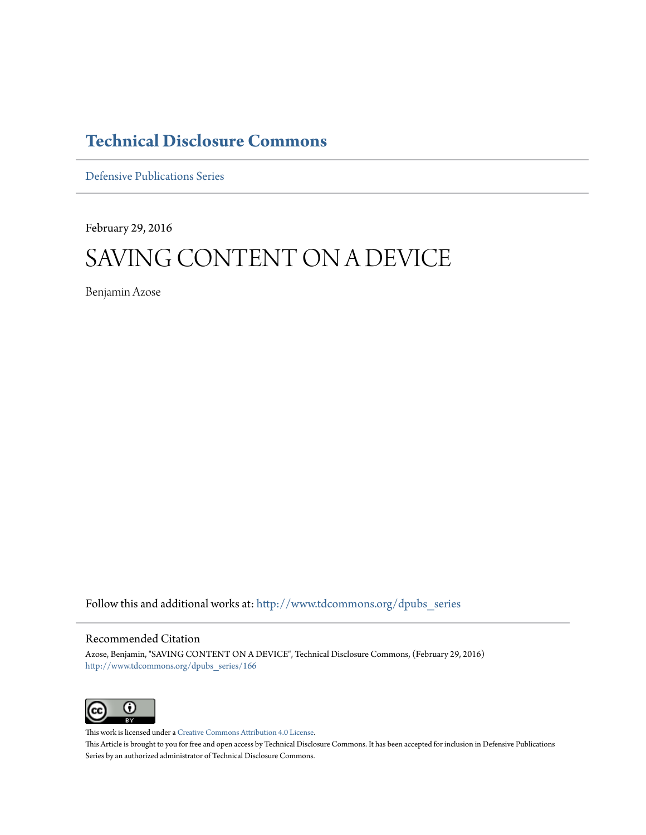## **[Technical Disclosure Commons](http://www.tdcommons.org?utm_source=www.tdcommons.org%2Fdpubs_series%2F166&utm_medium=PDF&utm_campaign=PDFCoverPages)**

[Defensive Publications Series](http://www.tdcommons.org/dpubs_series?utm_source=www.tdcommons.org%2Fdpubs_series%2F166&utm_medium=PDF&utm_campaign=PDFCoverPages)

February 29, 2016

# SAVING CONTENT ON A DEVICE

Benjamin Azose

Follow this and additional works at: [http://www.tdcommons.org/dpubs\\_series](http://www.tdcommons.org/dpubs_series?utm_source=www.tdcommons.org%2Fdpubs_series%2F166&utm_medium=PDF&utm_campaign=PDFCoverPages)

### Recommended Citation

Azose, Benjamin, "SAVING CONTENT ON A DEVICE", Technical Disclosure Commons, (February 29, 2016) [http://www.tdcommons.org/dpubs\\_series/166](http://www.tdcommons.org/dpubs_series/166?utm_source=www.tdcommons.org%2Fdpubs_series%2F166&utm_medium=PDF&utm_campaign=PDFCoverPages)



This work is licensed under a [Creative Commons Attribution 4.0 License.](http://creativecommons.org/licenses/by/4.0/deed.en_US) This Article is brought to you for free and open access by Technical Disclosure Commons. It has been accepted for inclusion in Defensive Publications Series by an authorized administrator of Technical Disclosure Commons.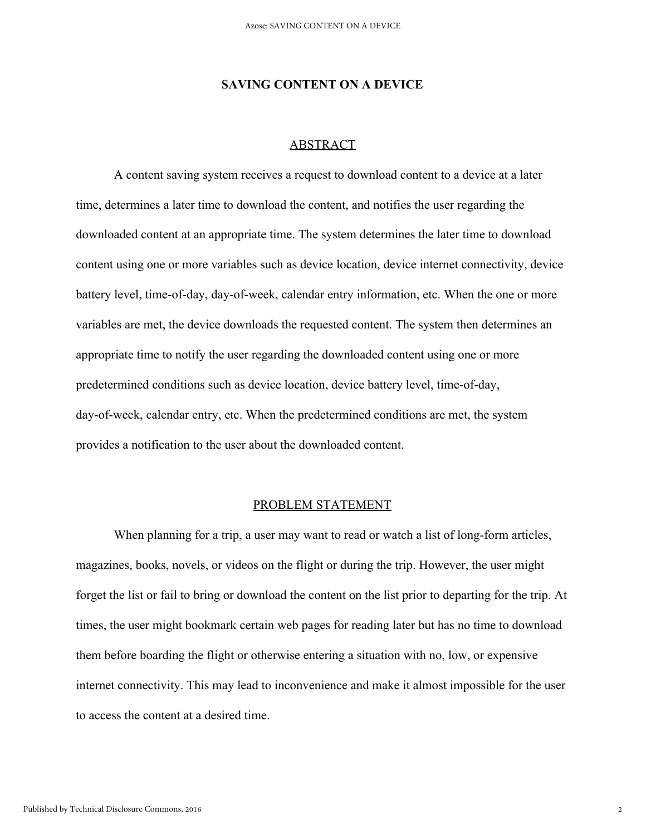#### **SAVING CONTENT ON A DEVICE**

#### ABSTRACT

A content saving system receives a request to download content to a device at a later time, determines a later time to download the content, and notifies the user regarding the downloaded content at an appropriate time. The system determines the later time to download content using one or more variables such as device location, device internet connectivity, device battery level, time-of-day, day-of-week, calendar entry information, etc. When the one or more variables are met, the device downloads the requested content. The system then determines an appropriate time to notify the user regarding the downloaded content using one or more predetermined conditions such as device location, device battery level, time-of-day, day-of-week, calendar entry, etc. When the predetermined conditions are met, the system provides a notification to the user about the downloaded content.

#### PROBLEM STATEMENT

When planning for a trip, a user may want to read or watch a list of long-form articles, magazines, books, novels, or videos on the flight or during the trip. However, the user might forget the list or fail to bring or download the content on the list prior to departing for the trip. At times, the user might bookmark certain web pages for reading later but has no time to download them before boarding the flight or otherwise entering a situation with no, low, or expensive internet connectivity. This may lead to inconvenience and make it almost impossible for the user to access the content at a desired time.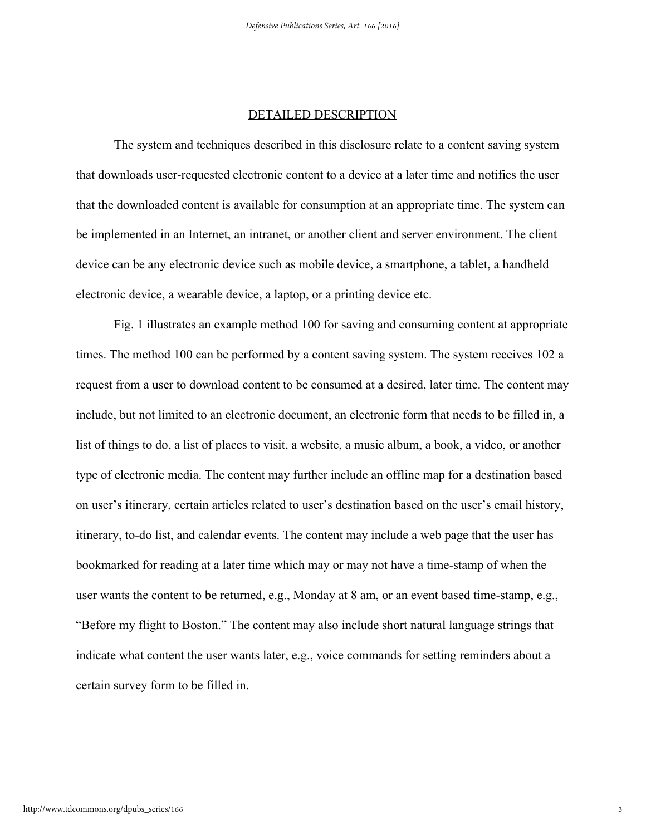#### DETAILED DESCRIPTION

The system and techniques described in this disclosure relate to a content saving system that downloads user-requested electronic content to a device at a later time and notifies the user that the downloaded content is available for consumption at an appropriate time. The system can be implemented in an Internet, an intranet, or another client and server environment. The client device can be any electronic device such as mobile device, a smartphone, a tablet, a handheld electronic device, a wearable device, a laptop, or a printing device etc.

Fig. 1 illustrates an example method 100 for saving and consuming content at appropriate times. The method 100 can be performed by a content saving system. The system receives 102 a request from a user to download content to be consumed at a desired, later time. The content may include, but not limited to an electronic document, an electronic form that needs to be filled in, a list of things to do, a list of places to visit, a website, a music album, a book, a video, or another type of electronic media. The content may further include an offline map for a destination based on user's itinerary, certain articles related to user's destination based on the user's email history, itinerary, to-do list, and calendar events. The content may include a web page that the user has bookmarked for reading at a later time which may or may not have a time-stamp of when the user wants the content to be returned, e.g., Monday at 8 am, or an event based time-stamp, e.g., "Before my flight to Boston." The content may also include short natural language strings that indicate what content the user wants later, e.g., voice commands for setting reminders about a certain survey form to be filled in.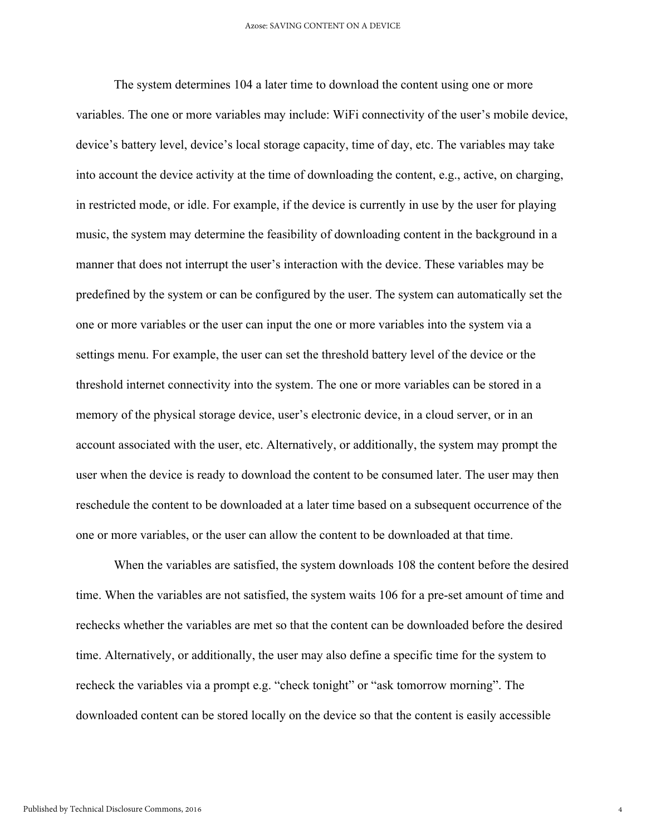The system determines 104 a later time to download the content using one or more variables. The one or more variables may include: WiFi connectivity of the user's mobile device, device's battery level, device's local storage capacity, time of day, etc. The variables may take into account the device activity at the time of downloading the content, e.g., active, on charging, in restricted mode, or idle. For example, if the device is currently in use by the user for playing music, the system may determine the feasibility of downloading content in the background in a manner that does not interrupt the user's interaction with the device. These variables may be predefined by the system or can be configured by the user. The system can automatically set the one or more variables or the user can input the one or more variables into the system via a settings menu. For example, the user can set the threshold battery level of the device or the threshold internet connectivity into the system. The one or more variables can be stored in a memory of the physical storage device, user's electronic device, in a cloud server, or in an account associated with the user, etc. Alternatively, or additionally, the system may prompt the user when the device is ready to download the content to be consumed later. The user may then reschedule the content to be downloaded at a later time based on a subsequent occurrence of the one or more variables, or the user can allow the content to be downloaded at that time.

When the variables are satisfied, the system downloads 108 the content before the desired time. When the variables are not satisfied, the system waits 106 for a pre-set amount of time and rechecks whether the variables are met so that the content can be downloaded before the desired time. Alternatively, or additionally, the user may also define a specific time for the system to recheck the variables via a prompt e.g. "check tonight" or "ask tomorrow morning". The downloaded content can be stored locally on the device so that the content is easily accessible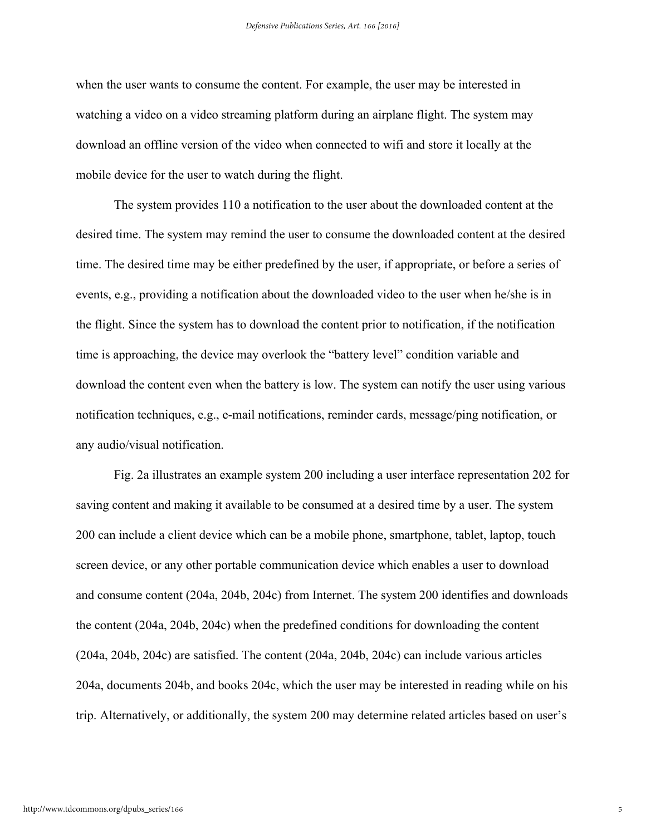when the user wants to consume the content. For example, the user may be interested in watching a video on a video streaming platform during an airplane flight. The system may download an offline version of the video when connected to wifi and store it locally at the mobile device for the user to watch during the flight.

The system provides 110 a notification to the user about the downloaded content at the desired time. The system may remind the user to consume the downloaded content at the desired time. The desired time may be either predefined by the user, if appropriate, or before a series of events, e.g., providing a notification about the downloaded video to the user when he/she is in the flight. Since the system has to download the content prior to notification, if the notification time is approaching, the device may overlook the "battery level" condition variable and download the content even when the battery is low. The system can notify the user using various notification techniques, e.g., e-mail notifications, reminder cards, message/ping notification, or any audio/visual notification.

Fig. 2a illustrates an example system 200 including a user interface representation 202 for saving content and making it available to be consumed at a desired time by a user. The system 200 can include a client device which can be a mobile phone, smartphone, tablet, laptop, touch screen device, or any other portable communication device which enables a user to download and consume content (204a, 204b, 204c) from Internet. The system 200 identifies and downloads the content (204a, 204b, 204c) when the predefined conditions for downloading the content (204a, 204b, 204c) are satisfied. The content (204a, 204b, 204c) can include various articles 204a, documents 204b, and books 204c, which the user may be interested in reading while on his trip. Alternatively, or additionally, the system 200 may determine related articles based on user's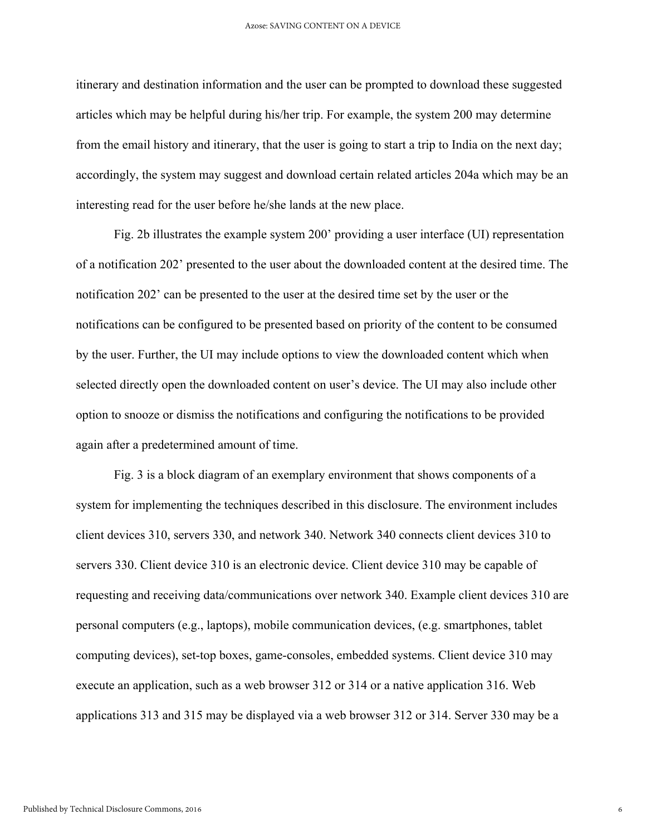itinerary and destination information and the user can be prompted to download these suggested articles which may be helpful during his/her trip. For example, the system 200 may determine from the email history and itinerary, that the user is going to start a trip to India on the next day; accordingly, the system may suggest and download certain related articles 204a which may be an interesting read for the user before he/she lands at the new place.

Fig. 2b illustrates the example system 200' providing a user interface (UI) representation of a notification 202' presented to the user about the downloaded content at the desired time. The notification 202' can be presented to the user at the desired time set by the user or the notifications can be configured to be presented based on priority of the content to be consumed by the user. Further, the UI may include options to view the downloaded content which when selected directly open the downloaded content on user's device. The UI may also include other option to snooze or dismiss the notifications and configuring the notifications to be provided again after a predetermined amount of time.

Fig. 3 is a block diagram of an exemplary environment that shows components of a system for implementing the techniques described in this disclosure. The environment includes client devices 310, servers 330, and network 340. Network 340 connects client devices 310 to servers 330. Client device 310 is an electronic device. Client device 310 may be capable of requesting and receiving data/communications over network 340. Example client devices 310 are personal computers (e.g., laptops), mobile communication devices, (e.g. smartphones, tablet computing devices), set-top boxes, game-consoles, embedded systems. Client device 310 may execute an application, such as a web browser 312 or 314 or a native application 316. Web applications 313 and 315 may be displayed via a web browser 312 or 314. Server 330 may be a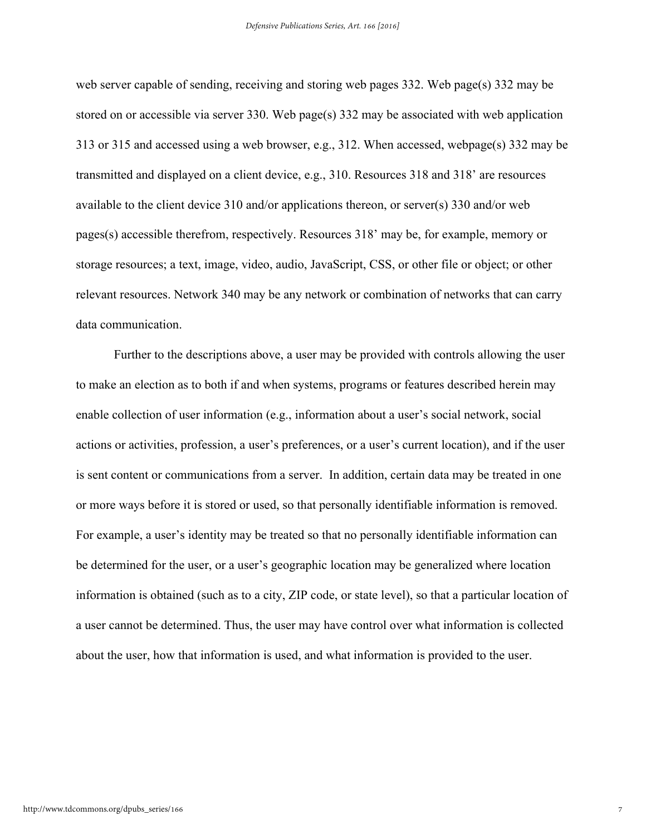web server capable of sending, receiving and storing web pages 332. Web page(s) 332 may be stored on or accessible via server 330. Web page(s) 332 may be associated with web application 313 or 315 and accessed using a web browser, e.g., 312. When accessed, webpage(s) 332 may be transmitted and displayed on a client device, e.g., 310. Resources 318 and 318' are resources available to the client device 310 and/or applications thereon, or server(s) 330 and/or web pages(s) accessible therefrom, respectively. Resources 318' may be, for example, memory or storage resources; a text, image, video, audio, JavaScript, CSS, or other file or object; or other relevant resources. Network 340 may be any network or combination of networks that can carry data communication.

Further to the descriptions above, a user may be provided with controls allowing the user to make an election as to both if and when systems, programs or features described herein may enable collection of user information (e.g., information about a user's social network, social actions or activities, profession, a user's preferences, or a user's current location), and if the user is sent content or communications from a server. In addition, certain data may be treated in one or more ways before it is stored or used, so that personally identifiable information is removed. For example, a user's identity may be treated so that no personally identifiable information can be determined for the user, or a user's geographic location may be generalized where location information is obtained (such as to a city, ZIP code, or state level), so that a particular location of a user cannot be determined. Thus, the user may have control over what information is collected about the user, how that information is used, and what information is provided to the user.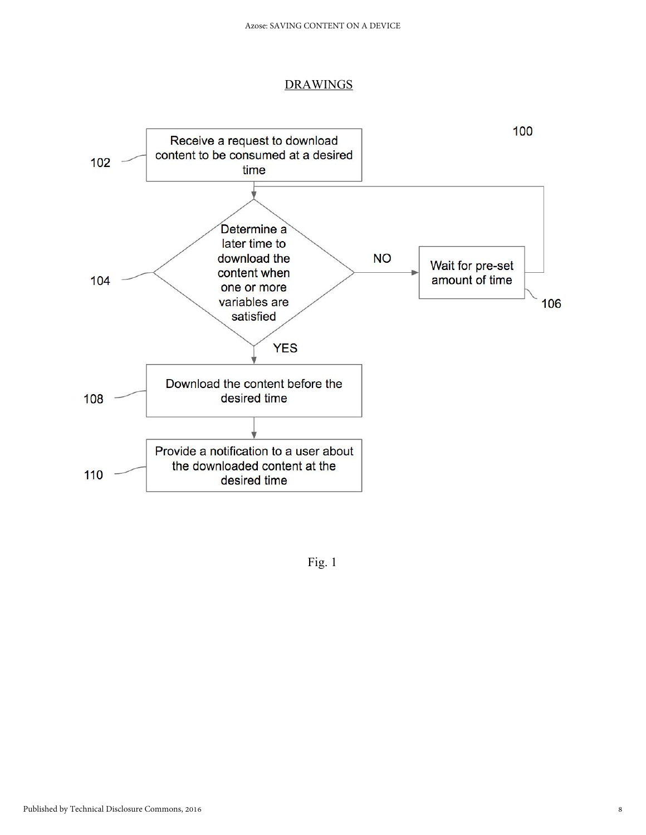#### **DRAWINGS**



Fig. 1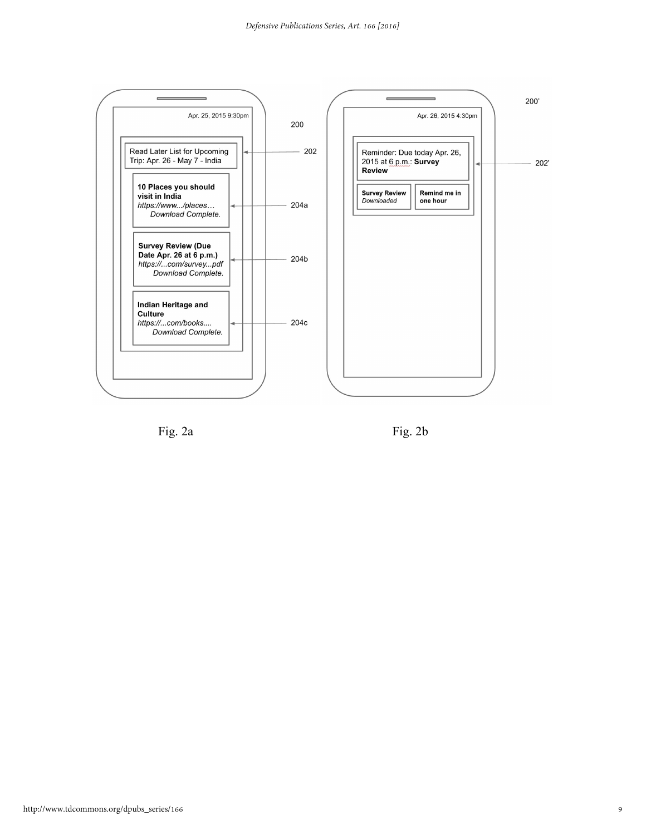